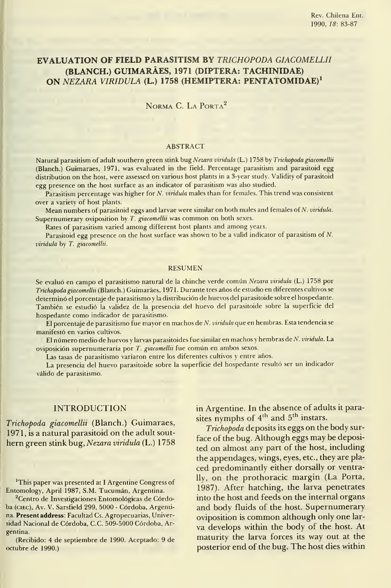# EVALUATION OF FIELD PARASITISM BY TRICHOPODA GIACOMELLII (BLANCH.) GUIMARÁES, 1971 (DÍPTERA: TACHINIDAE) ON NEZARA VIRIDULA (L.) 1758 (HEMIPTERA: PENTATOMIDAE)<sup>1</sup>

NORMA C. LA PORTA<sup>2</sup>

## ABSTRACT

Natural parasitism of adult southern green stink bug Nezara viridula (L.) 1758 by Trichopoda giacomellii (Blanch.) Guimaraes, 1971, was evaluated in the field. Percentage parasitism and parasitoid egg distribution on the host, were assessed on various host plants in <sup>a</sup> 3-year study. Validity of parasitoid egg presence on the host surface as an indicator of parasitism was also studied.

Parasitism percentage was higher for N. *viridula* males than for females. This trend was consistent over a variety of host plants.

Mean numbers of parasitoid eggs and larvae were similar on both males and females of N. viridula. Supernumerary oviposition by T. giacomellii was common on both sexes.

Rates of parasitism varied among different host plants and among years.

Parasitoid egg presence on the host surface was shown to be <sup>a</sup> valid indicator of parasitism of N. viridula by T. giacomellii.

#### RESUMEN

Se evaluó en campo el parasitismo natural de la chinche verde común Nezara viridula (L.) 1758 por Trichopoda giacomellii (Blanch.) Guimarães, 1971. Durante tres años de estudio en diferentes cultivos se determinó el porcentaje de parasitismo <sup>y</sup> la distribución de huevos del parasitoide sobre el hospedante. También se estudió la validez de la presencia del huevo del parasitoide sobre la superficie del hospedante como indicador de parasitismo.

El porcentaje de parasitismo fue mayor en machos de N. viridula que en hembras. Esta tendencia se manifestó en varios cultivos.

El número medio de huevos y larvas parasitoides fue similar en machos y hembras de N. viridula. La oviposición supernumeraria por T. giacomellii fue común en ambos sexos.

Las tasas de parasitismo variaron entre los diferentes cultivos y entre años.

La presencia del huevo parasitoide sobre la superficie del hospedante resultó ser un indicador válido de parasitismo.

# INTRODUCTION

Trichopoda giacomellii (Blanch.) Guimaraes, 1971, is a natural parasitoid on the adult sout hern green stink bug, Nezara viridula (L.) 1758

'This paper was presented at <sup>I</sup> Argentine Congress of Entomology, April 1987, S.M. Tucumán, Argentina.

<sup>2</sup>Centro de Investigaciones Entomológicas de Córdoba (ciEc), Av. V. Sarsfield 299, 5000 - Córdoba, Argentina. Presentaddress: Facultad Cs. Agropecuarias, Universidad Nacional de Córdoba, C.C. 509-5000 Córdoba, Argentina.

(Recibido: 4 de septiembre de 1990. Aceptado: 9 de octubre de 1990.)

in Argentine. In the absence of adults it parasites nymphs of  $4<sup>th</sup>$  and  $5<sup>th</sup>$  instars.

Trichopoda deposits its eggs on the body sur face of the bug. Although eggs may be deposited on almost any part of the host, including the appendages, wings, eyes, etc., they are placed predominandy either dorsally or ventrally, on the prothoracic margin (La Porta, 1987). After hatching, the larva penetrates into the host and feeds on the internal organs and body fluids of the host. Supernumerary oviposition is common although only one lar va develops within the body of the host. At maturity the larva forces its way out at the posterior end of the bug. The host dies within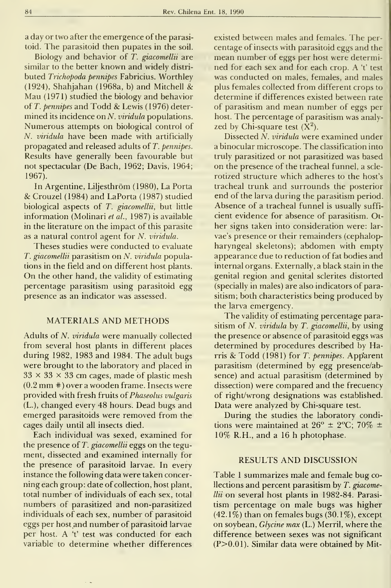a day or two after the emergence of the parasitoid. The parasitoid then pupates in the soil.

Biology and behavior of T. giacomellii are similar to the better known and widely distri buted Trichopoda pennipes Fabricius. Worthley (1924), Shahjahan (1968a, b) and Mitchell  $\&$ Mau (1971) studied the biology and behavior of  $T.$  pennipes and  $Todd \&$  Lewis (1976) determined its incidence on N. *viridula* populations. Numerous attempts on biological control of N. viridula have been made with artificially propagated and released adults of T. pennipes. Results have generally been favourable but not spectacular (De Bach, 1962; Davis, 1964; 1967).

In Argentine, Liljesthróm (1980), La Porta & Crouzel (1984) and LaPorta (1987) studied biological aspects of T. giacomellii, but little information (Molinari et al., 1987) is available in the literature on the impact of this parasite as a natural control agent for  $N$ . viridula.

Theses studies were conducted to evaluate T. giacomellii parasitism on N. viridula populations in the field and on different host plants. On the other hand, the validity of estimating percentage parasitism using parasitoid egg presence as an indicator was assessed.

## MATERIALS AND METHODS

Adults of N. viridula were manually collected from several host plants in different places during 1982, 1983 and 1984. The adult bugs were brought to the laboratory and placed in  $33 \times 33 \times 33$  cm cages, made of plastic mesh (0.2 mm #) over <sup>a</sup> wooden frame. Insects were provided with fresh fruits oí Phaseolus vulgaris (L.), changed every 48 hours. Dead bugs and emerged parasitoids were removed from the cages daily until all insects died.

Each individual was sexed, examined for the presence of T. giacomellii eggs on the tegument, dissected and examined internally for the presence of parasitoid larvae. In every instance the following data were taken concer ning each group: date of collection, host plant, total number of individuals of each sex, total numbers of parasitized and non-parasitized individuals of each sex, number of parasitoid eggs per hostand number of parasitoid larvae per host. A 't' test was conducted for each variable to determine whether differences

existed between males and females. The per centage of insects with parasitoid eggs and the mean number of eggs per host were determined for each sex and for each crop. A 't' test was conducted on males, females, and males plus females collected from different crops to determine if differences existed between rate of parasitism and mean number of eggs per host. The percentage of parasitism was analyzed by Chi-square test  $(X^2)$ .

Dissected N. viridula were examined under a binocular microscope. The classification into truly parasitized or not parasitized was based on the presence of the tracheal funnel, a scle rotized structure which adheres to the host's tracheal trunk and surrounds the posterior end of the larva during the parasitism period. Absence of a tracheal funnel is usually suffi cient evidence for absence of parasitism. Other signs taken into consideration were: lar vae's presence or their remainders (cephalopharyngeal skeletons); abdomen with empty appearance due to reduction of fat bodies and internal organs. Externally, a black stain in the genital región and genital sclerites distorted (specially in males) are also indicators of parasitism; both characteristics being produced by the larva emergency.

The validity of estimating percentage parasitism of N. viridula by T. giacomellii, by using the presence or absence of parasitoid eggs was determined by procedures described by Harris & Todd (1981) for T. pennipes. Apparent parasitism (determined by egg presence/absence) and actual parasitism (determined by dissection) were compared and the frecuency of right/wrong designations was established. Data were analyzed by Chi-square test.

During the studies the laboratory conditions were maintained at  $26^{\circ} \pm 2^{\circ}$ C; 70%  $\pm$ 10% R.H., and a 16 h photophase.

# RESULTS AND DISCUSSION

Table <sup>1</sup> summarizes male and female bug collections and percent parasitism by T. giacomellii on several host plants in 1982-84. Parasitism percentage on male bugs was higher  $(42.1\%)$  than on females bugs  $(30.1\%)$ , except on soybean, Glycine max (L.) Merril, where the difference between sexes was not significant  $(P>0.01)$ . Similar data were obtained by Mit-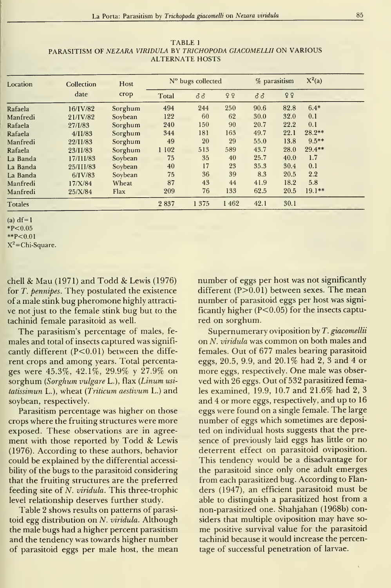TABLE <sup>1</sup> PARASITISM OF NEZARA VIRIDULA BY TRICHOPODA GIACOMELLII ON VARIOUS ALTÉRNATE HOSTS

| Location | Collection  | Host    | N° bugs collected |       | % parasitism |      | $X^2(a)$ |          |  |
|----------|-------------|---------|-------------------|-------|--------------|------|----------|----------|--|
|          | date        | crop    | Total             | ර් ර් | 99           | 33   | 99       |          |  |
| Rafaela  | $16/I$ V/82 | Sorghum | 494               | 244   | 250          | 90.6 | 82.8     | $6.4*$   |  |
| Manfredi | 21/IV/82    | Soybean | 122               | 60    | 62           | 30.0 | 32.0     | 0.1      |  |
| Rafaela  | 27/1/83     | Sorghum | 240               | 150   | 90           | 20.7 | 22.2     | 0.1      |  |
| Rafaela  | 4/11/83     | Sorghum | 344               | 181   | 163          | 49.7 | 22.1     | $28.2**$ |  |
| Manfredi | 22/11/83    | Sorghum | 49                | 20    | 29           | 55.0 | 13.8     | $9.5**$  |  |
| Rafaela  | 23/11/83    | Sorghum | 1 102             | 513   | 589          | 43.7 | 28.0     | 29.4**   |  |
| La Banda | 17/111/83   | Soybean | 75                | 35    | 40           | 25.7 | 40.0     | 1.7      |  |
| La Banda | 25/III/83   | Soybean | 40                | 17    | 23           | 35.3 | 30.4     | 0.1      |  |
| La Banda | $6/I$ V/83  | Soybean | 75                | 36    | 39           | 8.3  | 20.5     | 2.2      |  |
| Manfredi | 17/X/84     | Wheat   | 87                | 43    | 44           | 41.9 | 18.2     | 5.8      |  |
| Manfredi | 25/X/84     | Flax    | 209               | 76    | 133          | 62.5 | 20.5     | $19.1**$ |  |
| Totales  |             |         | 2837              | 1375  | 1462         | 42.1 | 30.1     |          |  |

 $(a) df=1$  $*P<0.05$ 

\*\*P<0.01

 $X^2$ =Chi-Square.

chell & Mau (1971) and Todd & Lewis (1976) for T. pennipes. They postulated the existence of a male stink bug pheromone highly attracti ve not just to the female stink bug but to the tachinid female parasitoid as well.

The parasitism's percentage of males, fe males and total of insects captured was significantly different  $(P<0.01)$  between the different crops and among years. Total percentages were 45.3%, 42.1%, 29.9% <sup>y</sup> 27.9% on sorghum (Sorghum vulgare L.), flax (Linum usitatissimun L.), wheat {Triticum aestivum L.) and soybean, respectively.

Parasitism percentage was higher on those crops where the fruiting structures were more exposed. These observations are in agreement with those reported by Todd & Lewis (1976). According to these authors, behavior could be explained by the differential accessibility of the bugs to the parasitoid considering that the fruiting structures are the preferred feeding site of N. viridula. This three-trophic level relationship deserves further study.

Table 2 shows results on patterns of parasitoid egg distribution on N. viridula. Although the male bugs had a higher percent parasitism and the tendency was towards higher number of parasitoid eggs per male host, the mean number of eggs per host was not significantly different  $(P>0.01)$  between sexes. The mean number of parasitoid eggs per host was significantly higher ( $P<0.05$ ) for the insects captured on sorghum.

Supernumerary oviposition by T. giacomellii on N. viridula was common on both males and females. Out of 677 males bearing parasitoid eggs, 20.5, 9.9, and 20.1% had 2, 3 and 4 or more eggs, respectively. One male was observed with 26 eggs. Out of 532 parasitized females examined, 19.9, 10.7 and 21.6% had 2, 3 and 4 or more eggs, respectively, and up to 16 eggs were found on <sup>a</sup> single female. The large number of eggs which sometimes are deposited on individual hosts suggests that the pre sence of previously laid eggs has little or no deterrent effect on parasitoid oviposition. This tendency would be a disadvantage for the parasitoid since only one adult emerges from each parasitized bug. According to Flanders (1947), an efficient parasitoid must be able to distinguish a parasitized host from a non-parasitized one. Shahjahan (1968b) considers that multiple oviposition may have some positive survival valué for the parasitoid tachinid because it would increase the percentage of successful penetration of larvae.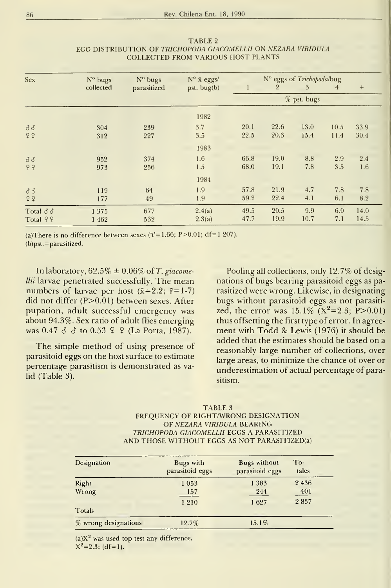| Sex                   | N° bugs<br>N° bugs |             | $N^{\rm o}$ $\bar{x}$ eggs/ | N° eggs of Trichopoda/bug |                |      |                |      |
|-----------------------|--------------------|-------------|-----------------------------|---------------------------|----------------|------|----------------|------|
|                       | collected          | parasitized | pst. bug $(b)$              | 1                         | $\overline{2}$ | 3    | $\overline{4}$ | $+$  |
|                       |                    |             |                             |                           | % pst. bugs    |      |                |      |
|                       |                    |             | 1982                        |                           |                |      |                |      |
| $\delta\,\delta$      | 304                | 239         | 3.7                         | 20.1                      | 22.6           | 13.0 | 10.5           | 33.9 |
| 99                    | 312                | 227         | 3.5                         | 22.5                      | 20.3           | 15.4 | 11.4           | 30.4 |
|                       |                    |             | 1983                        |                           |                |      |                |      |
| $\delta\,\delta$      | 952                | 374         | 1.6                         | 66.8                      | 19.0           | 8.8  | 2.9            | 2.4  |
| 99                    | 973                | 256         | 1.5                         | 68.0                      | 19.1           | 7.8  | 3.5            | 1.6  |
|                       |                    |             | 1984                        |                           |                |      |                |      |
| 33                    | 119                | 64          | 1.9                         | 57.8                      | 21.9           | 4.7  | 7.8            | 7.8  |
| 99                    | 177                | 49          | 1.9                         | 59.2                      | 22.4           | 4.1  | 6.1            | 8.2  |
| Total $\delta \delta$ | 1375               | 677         | 2.4(a)                      | 49.5                      | 20.5           | 9.9  | 6.0            | 14.0 |
| Total $99$            | 1 4 6 2            | 532         | 2.3(a)                      | 47.7                      | 19.9           | 10.7 | 7.1            | 14.5 |

### TABLE <sup>2</sup> EGG DISTRIBUTION OF TRICHOPODA GlACOMELLII ON NEZARA VIRIDULA COLLECTED FROM VARIOUS HOST PLANTS

(a)There is no difference between sexes ( $t' = 1.66$ ; P $> 0.01$ ; df=1 207).

(b)pst. = parasitized.

In laboratory,  $62.5\% \pm 0.06\%$  of T. giacomellii larvae penetrated successfully. The mean numbers of larvae per host  $(\bar{x}=2.2; \bar{r}=1-7)$ did not differ (P>0.01) between sexes. After pupation, adult successful emergency was about 94.3%. Sex ratio of adult flies emerging was 0.47  $\delta$   $\delta$  to 0.53  $\Omega$   $\Omega$  (La Porta, 1987).

The simple method of using presence of parasitoid eggs on the host surface to estímate percentage parasitism is demonstrated as valid (Table 3).

Pooling all collections, only 12.7% of designations of bugs bearing parasitoid eggs as parasitized were wrong. Likewise, in designating bugs without parasitoid eggs as not parasitized, the error was  $15.1\%$  (X<sup>2</sup>=2.3; P>0.01) thus offsetting the fírst type of error. In agreement with Todd & Lewis (1976) it should be added that the estimates should be based on a reasonably large number of collections, over large areas, to minimize the chance of over or underestimation of actual percentage of parasitism.

## TABLE <sup>3</sup> FREQUENCY OF RIGHT/WRONG DESIGNATION OF NEZARA VIRIDULA BEARING TRICHOPODA GlACOMELLII EGGS A PARASITIZED AND THOSE WITHOUT EGGS AS NOT PARASITIZED(a)

| Designation          | Bugs with<br>parasitoid eggs | <b>Bugs</b> without<br>parasitoid eggs | $To-$<br>tales |
|----------------------|------------------------------|----------------------------------------|----------------|
| Right                | 1053                         | 1 3 8 3                                | 2 4 3 6        |
| Wrong                | 157                          | 244                                    | 40I            |
|                      | 1210                         | 1627                                   | 2837           |
| Totals               |                              |                                        |                |
| % wrong designations | 12.7%                        | 15.1%                                  |                |

 $(a)X<sup>2</sup>$  was used top test any difference.  $X^2=2.3$ ; (df=1).